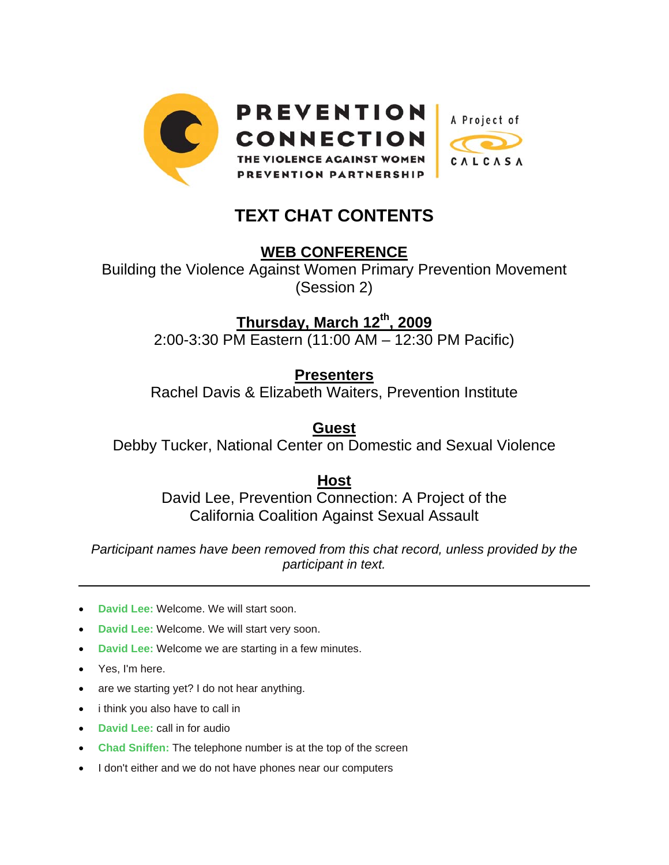

## **TEXT CHAT CONTENTS**

## **WEB CONFERENCE**

Building the Violence Against Women Primary Prevention Movement (Session 2)

**Thursday, March 12th, 2009**

2:00-3:30 PM Eastern (11:00 AM – 12:30 PM Pacific)

## **Presenters**

Rachel Davis & Elizabeth Waiters, Prevention Institute

**Guest**

Debby Tucker, National Center on Domestic and Sexual Violence

**Host** David Lee, Prevention Connection: A Project of the California Coalition Against Sexual Assault

*Participant names have been removed from this chat record, unless provided by the participant in text.* 

- **David Lee: Welcome. We will start soon.**
- **David Lee: Welcome. We will start very soon.**
- **David Lee:** Welcome we are starting in a few minutes.
- Yes, I'm here.

 $\overline{a}$ 

- are we starting yet? I do not hear anything.
- i think you also have to call in
- **David Lee: call in for audio**
- **Chad Sniffen:** The telephone number is at the top of the screen
- I don't either and we do not have phones near our computers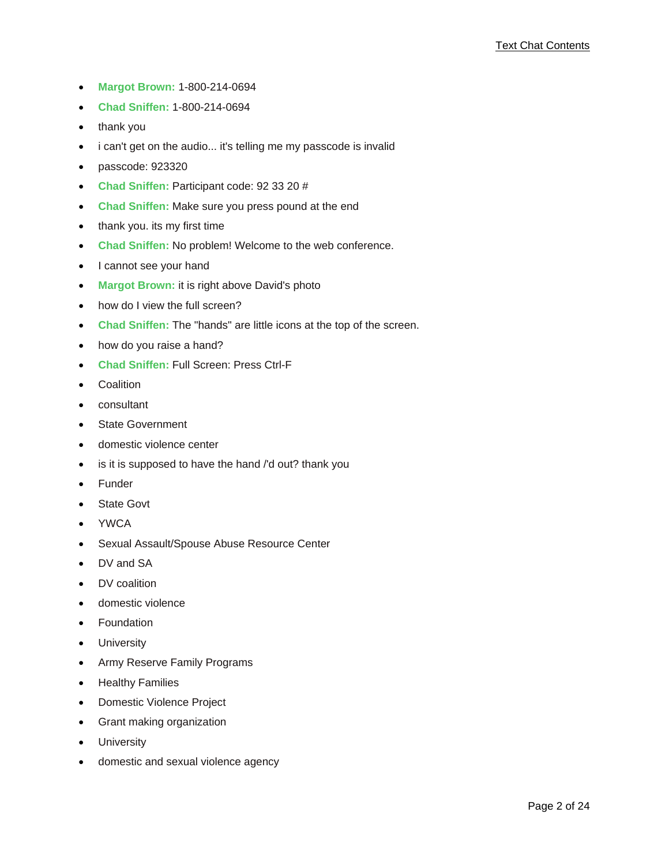- **Margot Brown:** 1-800-214-0694
- **Chad Sniffen:** 1-800-214-0694
- thank you
- i can't get on the audio... it's telling me my passcode is invalid
- passcode: 923320
- **Chad Sniffen:** Participant code: 92 33 20 #
- **Chad Sniffen:** Make sure you press pound at the end
- thank you. its my first time
- **Chad Sniffen:** No problem! Welcome to the web conference.
- I cannot see your hand
- **Margot Brown:** it is right above David's photo
- how do I view the full screen?
- **Chad Sniffen:** The "hands" are little icons at the top of the screen.
- how do you raise a hand?
- **Chad Sniffen:** Full Screen: Press Ctrl-F
- Coalition
- consultant
- State Government
- domestic violence center
- is it is supposed to have the hand /'d out? thank you
- **Funder**
- **State Govt**
- YWCA
- Sexual Assault/Spouse Abuse Resource Center
- DV and SA
- DV coalition
- domestic violence
- **Foundation**
- **University**
- Army Reserve Family Programs
- Healthy Families
- Domestic Violence Project
- Grant making organization
- University
- domestic and sexual violence agency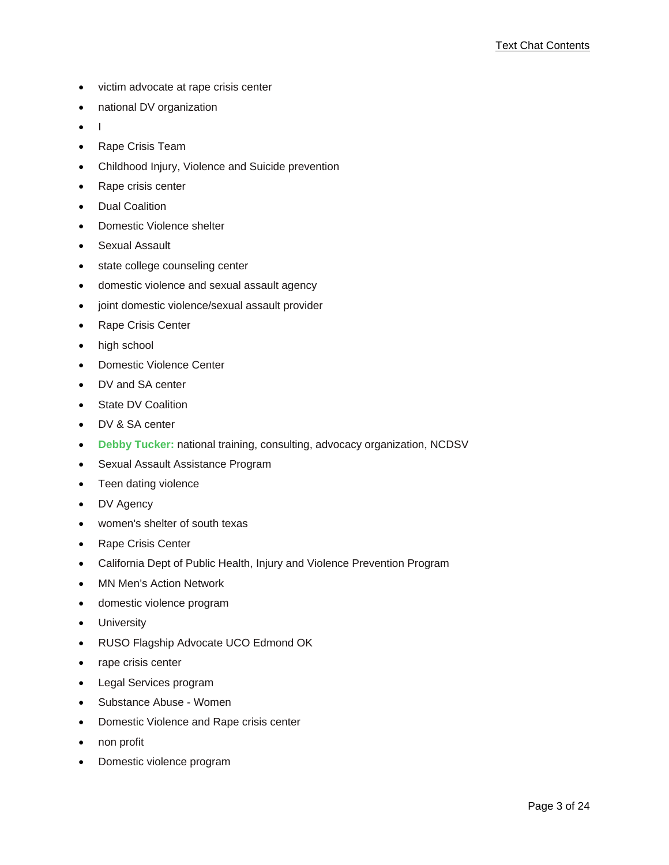- victim advocate at rape crisis center
- national DV organization
- I
- Rape Crisis Team
- Childhood Injury, Violence and Suicide prevention
- Rape crisis center
- Dual Coalition
- Domestic Violence shelter
- Sexual Assault
- state college counseling center
- domestic violence and sexual assault agency
- joint domestic violence/sexual assault provider
- Rape Crisis Center
- high school
- Domestic Violence Center
- DV and SA center
- State DV Coalition
- DV & SA center
- **Debby Tucker:** national training, consulting, advocacy organization, NCDSV
- Sexual Assault Assistance Program
- Teen dating violence
- DV Agency
- women's shelter of south texas
- Rape Crisis Center
- California Dept of Public Health, Injury and Violence Prevention Program
- MN Men's Action Network
- domestic violence program
- University
- RUSO Flagship Advocate UCO Edmond OK
- rape crisis center
- Legal Services program
- Substance Abuse Women
- Domestic Violence and Rape crisis center
- non profit
- Domestic violence program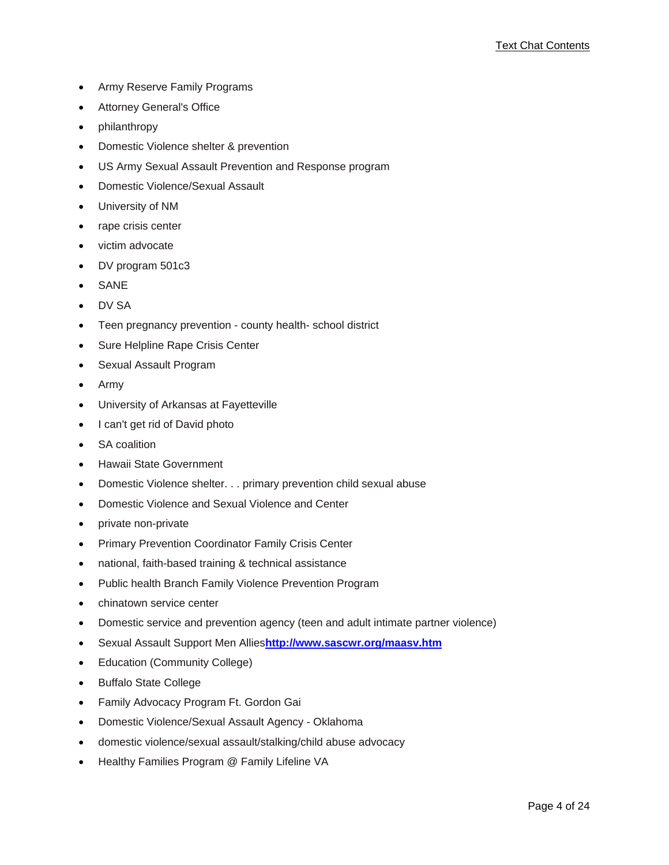- Army Reserve Family Programs
- Attorney General's Office
- philanthropy
- Domestic Violence shelter & prevention
- US Army Sexual Assault Prevention and Response program
- Domestic Violence/Sexual Assault
- University of NM
- rape crisis center
- victim advocate
- DV program 501c3
- **SANE**
- DV SA
- Teen pregnancy prevention county health- school district
- Sure Helpline Rape Crisis Center
- Sexual Assault Program
- Army
- University of Arkansas at Fayetteville
- I can't get rid of David photo
- SA coalition
- Hawaii State Government
- Domestic Violence shelter. . . primary prevention child sexual abuse
- Domestic Violence and Sexual Violence and Center
- private non-private
- Primary Prevention Coordinator Family Crisis Center
- national, faith-based training & technical assistance
- Public health Branch Family Violence Prevention Program
- chinatown service center
- Domestic service and prevention agency (teen and adult intimate partner violence)
- Sexual Assault Support Men Allies**http://www.sascwr.org/maasv.htm**
- Education (Community College)
- Buffalo State College
- Family Advocacy Program Ft. Gordon Gai
- Domestic Violence/Sexual Assault Agency Oklahoma
- domestic violence/sexual assault/stalking/child abuse advocacy
- Healthy Families Program @ Family Lifeline VA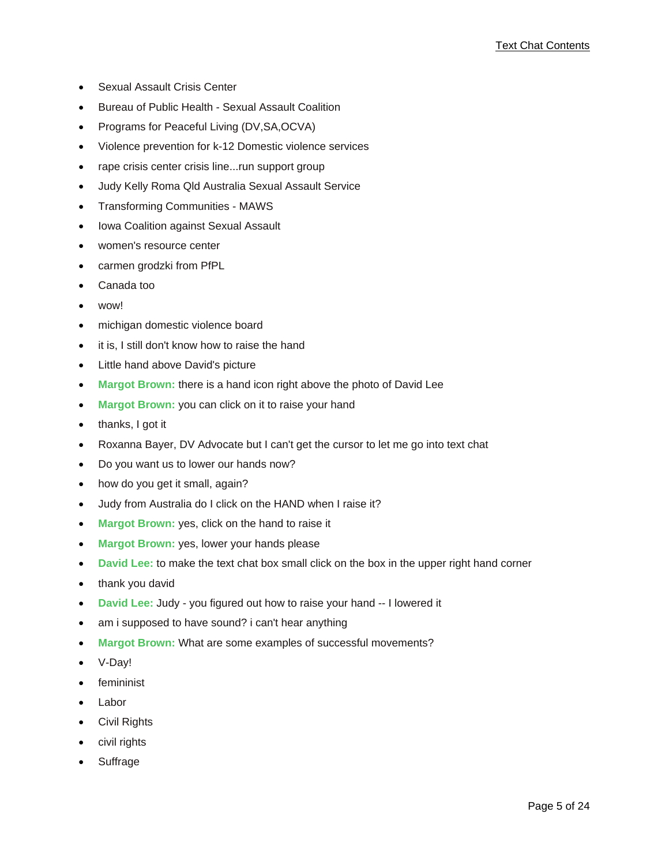- Sexual Assault Crisis Center
- Bureau of Public Health Sexual Assault Coalition
- Programs for Peaceful Living (DV,SA,OCVA)
- Violence prevention for k-12 Domestic violence services
- rape crisis center crisis line...run support group
- Judy Kelly Roma Qld Australia Sexual Assault Service
- Transforming Communities MAWS
- Iowa Coalition against Sexual Assault
- women's resource center
- carmen grodzki from PfPL
- Canada too
- wow!
- michigan domestic violence board
- it is, I still don't know how to raise the hand
- Little hand above David's picture
- **Margot Brown:** there is a hand icon right above the photo of David Lee
- **Margot Brown:** you can click on it to raise your hand
- thanks, I got it
- Roxanna Bayer, DV Advocate but I can't get the cursor to let me go into text chat
- Do you want us to lower our hands now?
- how do you get it small, again?
- Judy from Australia do I click on the HAND when I raise it?
- **Margot Brown:** yes, click on the hand to raise it
- **Margot Brown:** yes, lower your hands please
- **David Lee:** to make the text chat box small click on the box in the upper right hand corner
- thank you david
- **David Lee:** Judy you figured out how to raise your hand -- I lowered it
- am i supposed to have sound? i can't hear anything
- **Margot Brown:** What are some examples of successful movements?
- V-Day!
- femininist
- **Labor**
- Civil Rights
- civil rights
- **Suffrage**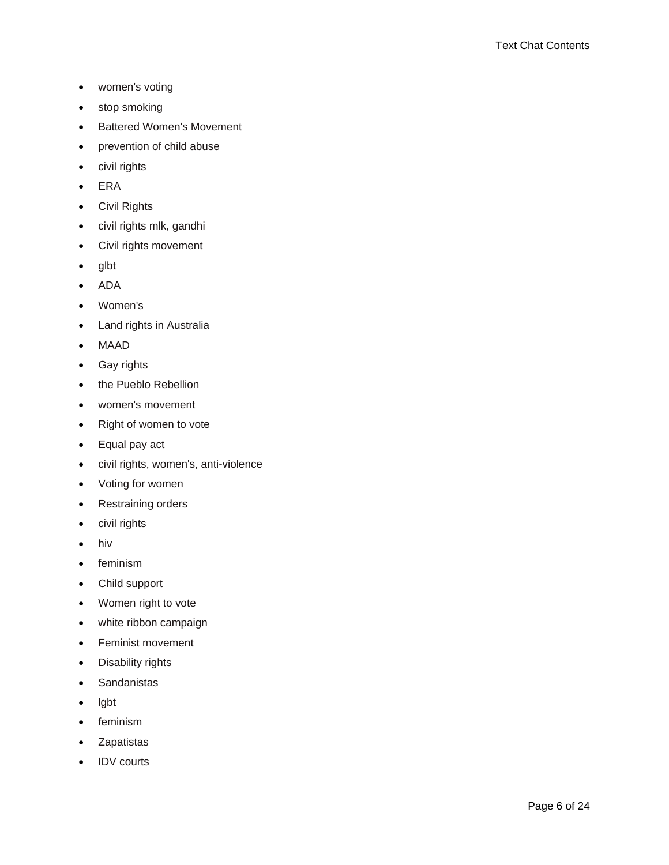- women's voting
- stop smoking
- Battered Women's Movement
- prevention of child abuse
- civil rights
- ERA
- Civil Rights
- civil rights mlk, gandhi
- Civil rights movement
- glbt
- ADA
- Women's
- Land rights in Australia
- MAAD
- Gay rights
- the Pueblo Rebellion
- women's movement
- Right of women to vote
- Equal pay act
- civil rights, women's, anti-violence
- Voting for women
- Restraining orders
- civil rights
- hiv
- feminism
- Child support
- Women right to vote
- white ribbon campaign
- Feminist movement
- Disability rights
- Sandanistas
- lgbt
- feminism
- Zapatistas
- IDV courts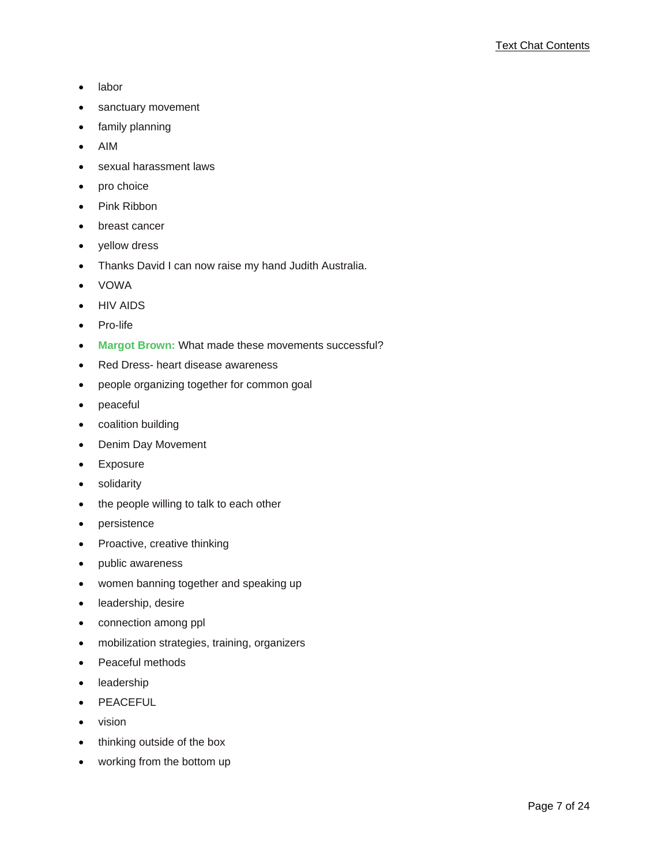- labor
- sanctuary movement
- family planning
- AIM
- sexual harassment laws
- pro choice
- Pink Ribbon
- breast cancer
- yellow dress
- Thanks David I can now raise my hand Judith Australia.
- VOWA
- HIV AIDS
- Pro-life
- **Margot Brown:** What made these movements successful?
- Red Dress- heart disease awareness
- people organizing together for common goal
- peaceful
- coalition building
- Denim Day Movement
- **Exposure**
- solidarity
- the people willing to talk to each other
- persistence
- Proactive, creative thinking
- public awareness
- women banning together and speaking up
- leadership, desire
- connection among ppl
- mobilization strategies, training, organizers
- Peaceful methods
- leadership
- PEACEFUL
- vision
- thinking outside of the box
- working from the bottom up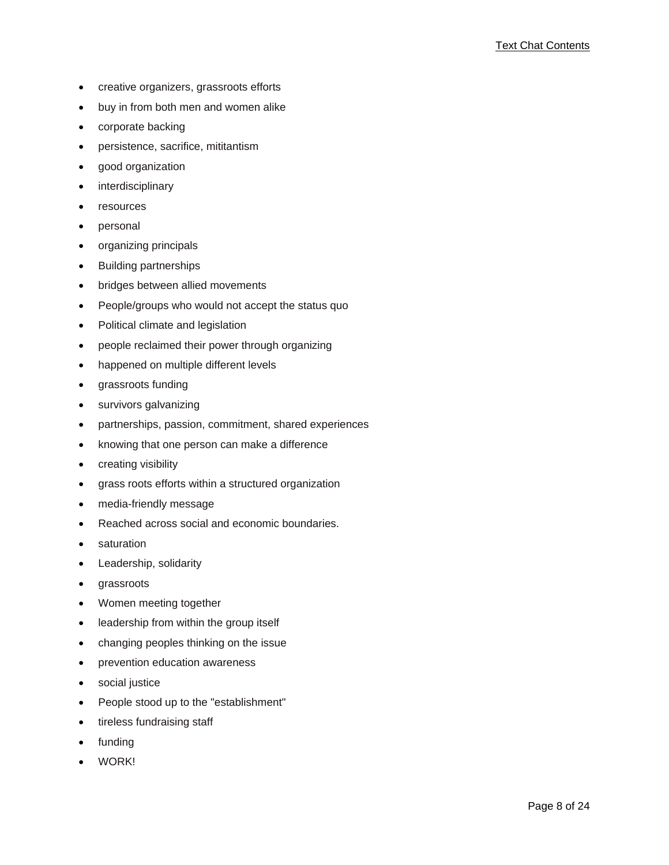- creative organizers, grassroots efforts
- buy in from both men and women alike
- corporate backing
- persistence, sacrifice, mititantism
- good organization
- **interdisciplinary**
- resources
- personal
- organizing principals
- Building partnerships
- bridges between allied movements
- People/groups who would not accept the status quo
- Political climate and legislation
- people reclaimed their power through organizing
- happened on multiple different levels
- grassroots funding
- survivors galvanizing
- partnerships, passion, commitment, shared experiences
- knowing that one person can make a difference
- creating visibility
- grass roots efforts within a structured organization
- media-friendly message
- Reached across social and economic boundaries.
- saturation
- Leadership, solidarity
- grassroots
- Women meeting together
- leadership from within the group itself
- changing peoples thinking on the issue
- prevention education awareness
- social justice
- People stood up to the "establishment"
- tireless fundraising staff
- **funding**
- WORK!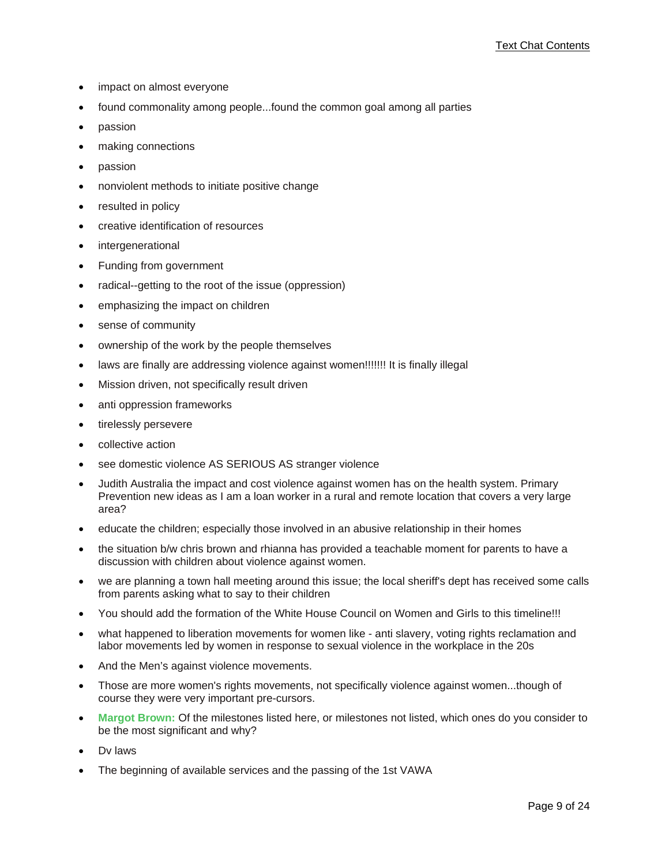- impact on almost everyone
- found commonality among people...found the common goal among all parties
- passion
- making connections
- passion
- nonviolent methods to initiate positive change
- resulted in policy
- creative identification of resources
- *intergenerational*
- Funding from government
- radical--getting to the root of the issue (oppression)
- emphasizing the impact on children
- sense of community
- ownership of the work by the people themselves
- laws are finally are addressing violence against women!!!!!!! It is finally illegal
- Mission driven, not specifically result driven
- anti oppression frameworks
- tirelessly persevere
- collective action
- see domestic violence AS SERIOUS AS stranger violence
- Judith Australia the impact and cost violence against women has on the health system. Primary Prevention new ideas as I am a loan worker in a rural and remote location that covers a very large area?
- educate the children; especially those involved in an abusive relationship in their homes
- the situation b/w chris brown and rhianna has provided a teachable moment for parents to have a discussion with children about violence against women.
- we are planning a town hall meeting around this issue; the local sheriff's dept has received some calls from parents asking what to say to their children
- You should add the formation of the White House Council on Women and Girls to this timeline!!!
- what happened to liberation movements for women like anti slavery, voting rights reclamation and labor movements led by women in response to sexual violence in the workplace in the 20s
- And the Men's against violence movements.
- Those are more women's rights movements, not specifically violence against women...though of course they were very important pre-cursors.
- **Margot Brown:** Of the milestones listed here, or milestones not listed, which ones do you consider to be the most significant and why?
- Dv laws
- The beginning of available services and the passing of the 1st VAWA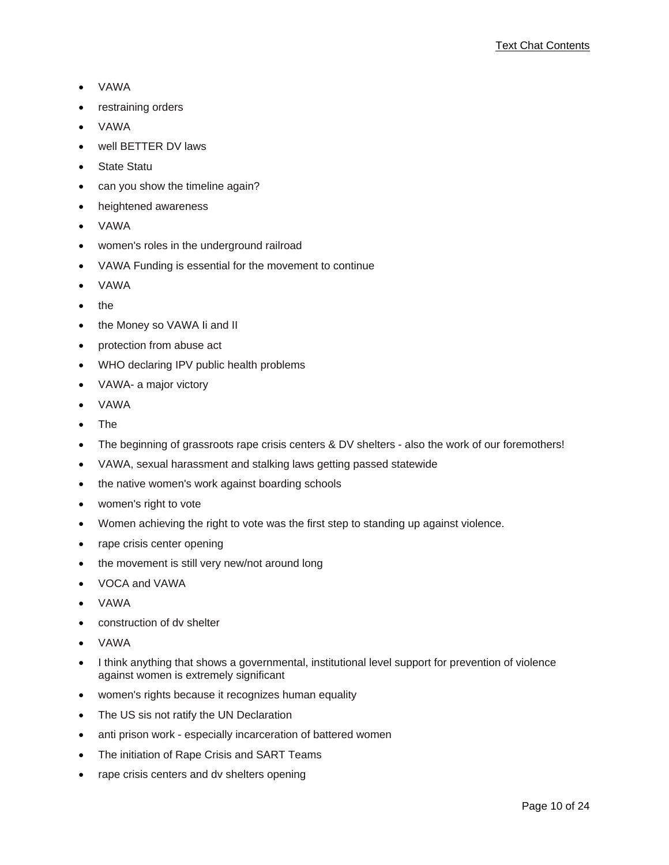- VAWA
- restraining orders
- VAWA
- well BETTER DV laws
- State Statu
- can you show the timeline again?
- heightened awareness
- VAWA
- women's roles in the underground railroad
- VAWA Funding is essential for the movement to continue
- VAWA
- the
- the Money so VAWA Ii and II
- protection from abuse act
- WHO declaring IPV public health problems
- VAWA- a major victory
- VAWA
- The
- The beginning of grassroots rape crisis centers & DV shelters also the work of our foremothers!
- VAWA, sexual harassment and stalking laws getting passed statewide
- the native women's work against boarding schools
- women's right to vote
- Women achieving the right to vote was the first step to standing up against violence.
- rape crisis center opening
- the movement is still very new/not around long
- VOCA and VAWA
- VAWA
- construction of dv shelter
- VAWA
- I think anything that shows a governmental, institutional level support for prevention of violence against women is extremely significant
- women's rights because it recognizes human equality
- The US sis not ratify the UN Declaration
- anti prison work especially incarceration of battered women
- The initiation of Rape Crisis and SART Teams
- rape crisis centers and dv shelters opening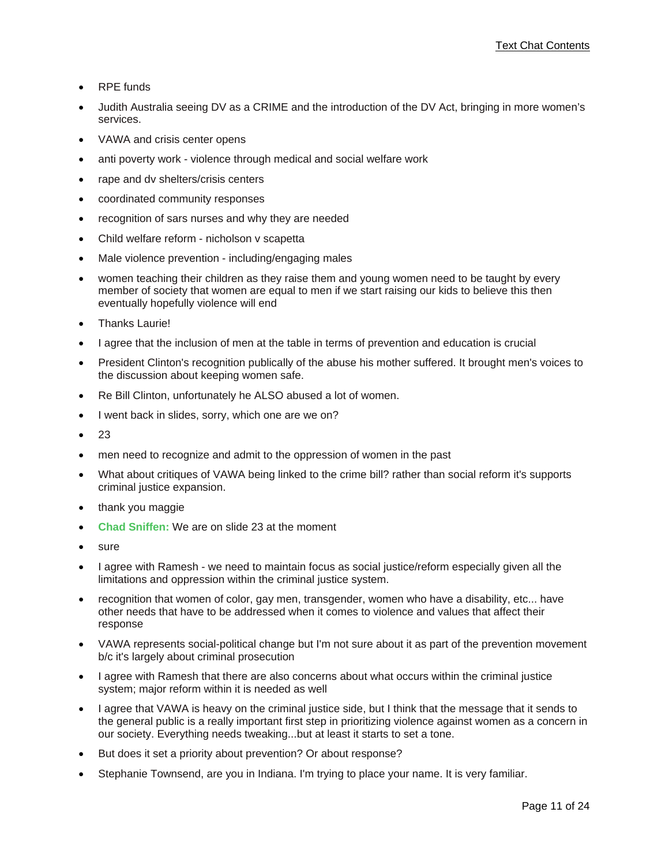- RPE funds
- Judith Australia seeing DV as a CRIME and the introduction of the DV Act, bringing in more women's services.
- VAWA and crisis center opens
- anti poverty work violence through medical and social welfare work
- rape and dv shelters/crisis centers
- coordinated community responses
- recognition of sars nurses and why they are needed
- Child welfare reform nicholson v scapetta
- Male violence prevention including/engaging males
- women teaching their children as they raise them and young women need to be taught by every member of society that women are equal to men if we start raising our kids to believe this then eventually hopefully violence will end
- **Thanks Laurie!**
- I agree that the inclusion of men at the table in terms of prevention and education is crucial
- President Clinton's recognition publically of the abuse his mother suffered. It brought men's voices to the discussion about keeping women safe.
- Re Bill Clinton, unfortunately he ALSO abused a lot of women.
- I went back in slides, sorry, which one are we on?
- 23
- men need to recognize and admit to the oppression of women in the past
- What about critiques of VAWA being linked to the crime bill? rather than social reform it's supports criminal justice expansion.
- thank you maggie
- **Chad Sniffen:** We are on slide 23 at the moment
- sure
- I agree with Ramesh we need to maintain focus as social justice/reform especially given all the limitations and oppression within the criminal justice system.
- recognition that women of color, gay men, transgender, women who have a disability, etc... have other needs that have to be addressed when it comes to violence and values that affect their response
- VAWA represents social-political change but I'm not sure about it as part of the prevention movement b/c it's largely about criminal prosecution
- I agree with Ramesh that there are also concerns about what occurs within the criminal justice system; major reform within it is needed as well
- I agree that VAWA is heavy on the criminal justice side, but I think that the message that it sends to the general public is a really important first step in prioritizing violence against women as a concern in our society. Everything needs tweaking...but at least it starts to set a tone.
- But does it set a priority about prevention? Or about response?
- Stephanie Townsend, are you in Indiana. I'm trying to place your name. It is very familiar.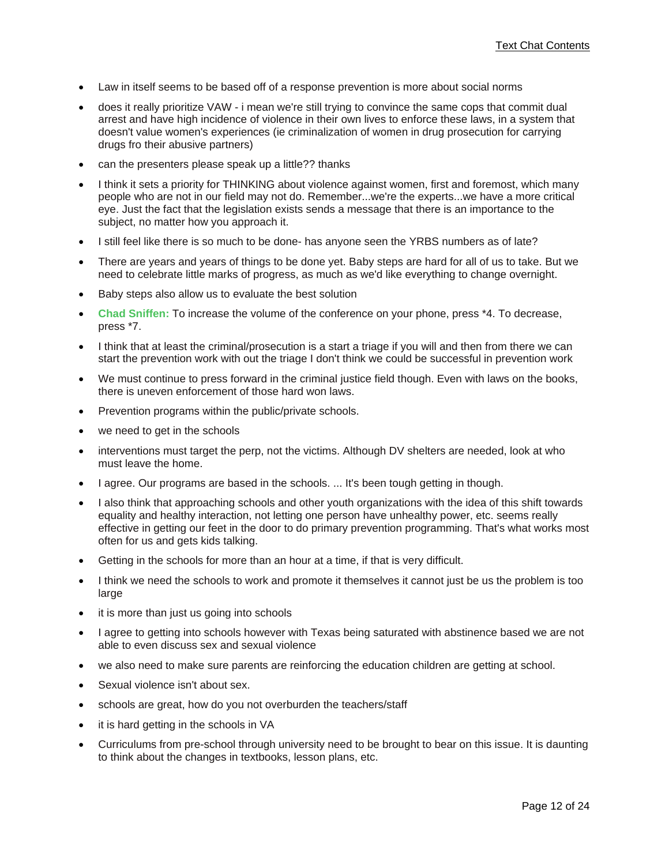- Law in itself seems to be based off of a response prevention is more about social norms
- does it really prioritize VAW i mean we're still trying to convince the same cops that commit dual arrest and have high incidence of violence in their own lives to enforce these laws, in a system that doesn't value women's experiences (ie criminalization of women in drug prosecution for carrying drugs fro their abusive partners)
- can the presenters please speak up a little?? thanks
- I think it sets a priority for THINKING about violence against women, first and foremost, which many people who are not in our field may not do. Remember...we're the experts...we have a more critical eye. Just the fact that the legislation exists sends a message that there is an importance to the subject, no matter how you approach it.
- I still feel like there is so much to be done- has anyone seen the YRBS numbers as of late?
- There are years and years of things to be done yet. Baby steps are hard for all of us to take. But we need to celebrate little marks of progress, as much as we'd like everything to change overnight.
- Baby steps also allow us to evaluate the best solution
- **Chad Sniffen:** To increase the volume of the conference on your phone, press \*4. To decrease, press \*7.
- I think that at least the criminal/prosecution is a start a triage if you will and then from there we can start the prevention work with out the triage I don't think we could be successful in prevention work
- We must continue to press forward in the criminal justice field though. Even with laws on the books, there is uneven enforcement of those hard won laws.
- Prevention programs within the public/private schools.
- we need to get in the schools
- interventions must target the perp, not the victims. Although DV shelters are needed, look at who must leave the home.
- I agree. Our programs are based in the schools. ... It's been tough getting in though.
- I also think that approaching schools and other youth organizations with the idea of this shift towards equality and healthy interaction, not letting one person have unhealthy power, etc. seems really effective in getting our feet in the door to do primary prevention programming. That's what works most often for us and gets kids talking.
- Getting in the schools for more than an hour at a time, if that is very difficult.
- I think we need the schools to work and promote it themselves it cannot just be us the problem is too large
- it is more than just us going into schools
- I agree to getting into schools however with Texas being saturated with abstinence based we are not able to even discuss sex and sexual violence
- we also need to make sure parents are reinforcing the education children are getting at school.
- Sexual violence isn't about sex.
- schools are great, how do you not overburden the teachers/staff
- it is hard getting in the schools in VA
- Curriculums from pre-school through university need to be brought to bear on this issue. It is daunting to think about the changes in textbooks, lesson plans, etc.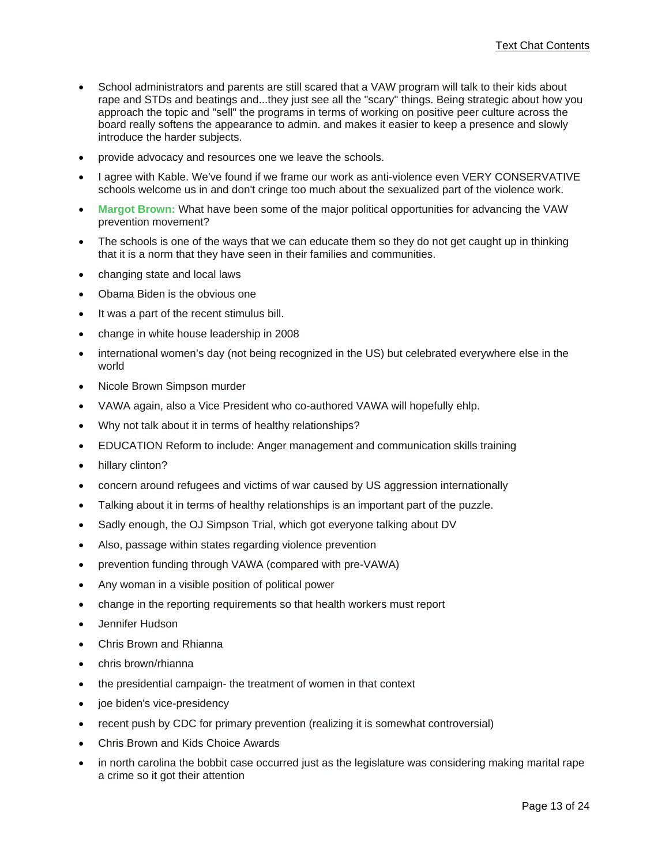- School administrators and parents are still scared that a VAW program will talk to their kids about rape and STDs and beatings and...they just see all the "scary" things. Being strategic about how you approach the topic and "sell" the programs in terms of working on positive peer culture across the board really softens the appearance to admin. and makes it easier to keep a presence and slowly introduce the harder subjects.
- provide advocacy and resources one we leave the schools.
- I agree with Kable. We've found if we frame our work as anti-violence even VERY CONSERVATIVE schools welcome us in and don't cringe too much about the sexualized part of the violence work.
- **Margot Brown:** What have been some of the major political opportunities for advancing the VAW prevention movement?
- The schools is one of the ways that we can educate them so they do not get caught up in thinking that it is a norm that they have seen in their families and communities.
- changing state and local laws
- Obama Biden is the obvious one
- It was a part of the recent stimulus bill.
- change in white house leadership in 2008
- international women's day (not being recognized in the US) but celebrated everywhere else in the world
- Nicole Brown Simpson murder
- VAWA again, also a Vice President who co-authored VAWA will hopefully ehlp.
- Why not talk about it in terms of healthy relationships?
- EDUCATION Reform to include: Anger management and communication skills training
- hillary clinton?
- concern around refugees and victims of war caused by US aggression internationally
- Talking about it in terms of healthy relationships is an important part of the puzzle.
- Sadly enough, the OJ Simpson Trial, which got everyone talking about DV
- Also, passage within states regarding violence prevention
- prevention funding through VAWA (compared with pre-VAWA)
- Any woman in a visible position of political power
- change in the reporting requirements so that health workers must report
- Jennifer Hudson
- Chris Brown and Rhianna
- chris brown/rhianna
- the presidential campaign- the treatment of women in that context
- joe biden's vice-presidency
- recent push by CDC for primary prevention (realizing it is somewhat controversial)
- Chris Brown and Kids Choice Awards
- in north carolina the bobbit case occurred just as the legislature was considering making marital rape a crime so it got their attention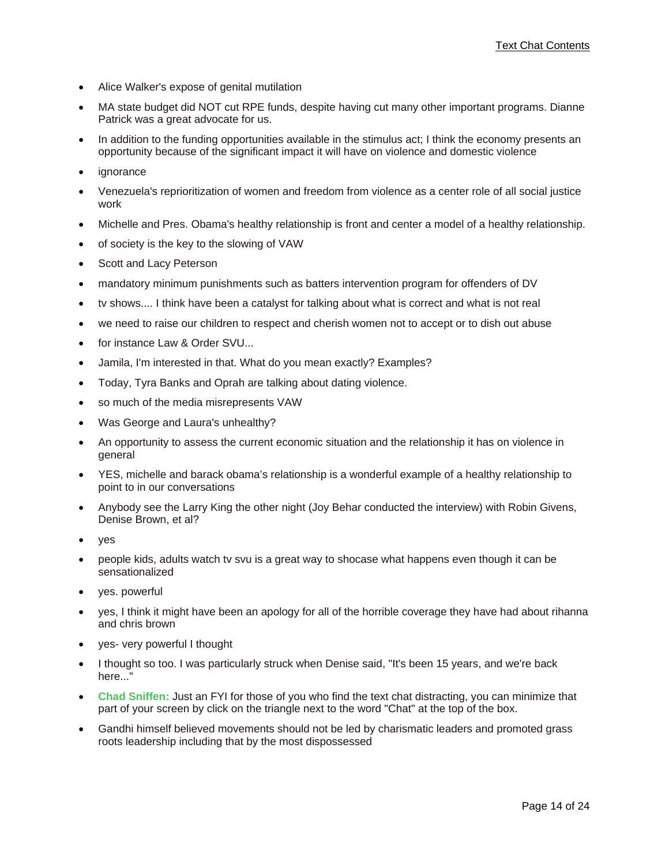- Alice Walker's expose of genital mutilation
- MA state budget did NOT cut RPE funds, despite having cut many other important programs. Dianne Patrick was a great advocate for us.
- In addition to the funding opportunities available in the stimulus act; I think the economy presents an opportunity because of the significant impact it will have on violence and domestic violence
- *ignorance*
- Venezuela's reprioritization of women and freedom from violence as a center role of all social justice work
- Michelle and Pres. Obama's healthy relationship is front and center a model of a healthy relationship.
- of society is the key to the slowing of VAW
- Scott and Lacy Peterson
- mandatory minimum punishments such as batters intervention program for offenders of DV
- tv shows.... I think have been a catalyst for talking about what is correct and what is not real
- we need to raise our children to respect and cherish women not to accept or to dish out abuse
- for instance Law & Order SVU...
- Jamila, I'm interested in that. What do you mean exactly? Examples?
- Today, Tyra Banks and Oprah are talking about dating violence.
- so much of the media misrepresents VAW
- Was George and Laura's unhealthy?
- An opportunity to assess the current economic situation and the relationship it has on violence in general
- YES, michelle and barack obama's relationship is a wonderful example of a healthy relationship to point to in our conversations
- Anybody see the Larry King the other night (Joy Behar conducted the interview) with Robin Givens, Denise Brown, et al?
- ves
- people kids, adults watch tv svu is a great way to shocase what happens even though it can be sensationalized
- yes. powerful
- yes, I think it might have been an apology for all of the horrible coverage they have had about rihanna and chris brown
- yes- very powerful I thought
- I thought so too. I was particularly struck when Denise said, "It's been 15 years, and we're back here..."
- **Chad Sniffen:** Just an FYI for those of you who find the text chat distracting, you can minimize that part of your screen by click on the triangle next to the word "Chat" at the top of the box.
- Gandhi himself believed movements should not be led by charismatic leaders and promoted grass roots leadership including that by the most dispossessed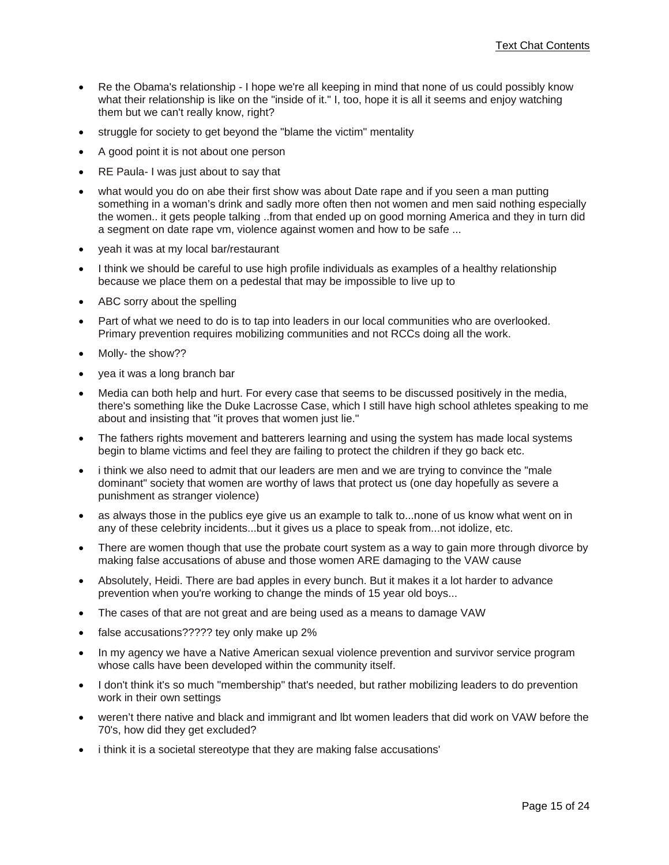- Re the Obama's relationship I hope we're all keeping in mind that none of us could possibly know what their relationship is like on the "inside of it." I, too, hope it is all it seems and enjoy watching them but we can't really know, right?
- struggle for society to get beyond the "blame the victim" mentality
- A good point it is not about one person
- RE Paula- I was just about to say that
- what would you do on abe their first show was about Date rape and if you seen a man putting something in a woman's drink and sadly more often then not women and men said nothing especially the women.. it gets people talking ..from that ended up on good morning America and they in turn did a segment on date rape vm, violence against women and how to be safe ...
- yeah it was at my local bar/restaurant
- I think we should be careful to use high profile individuals as examples of a healthy relationship because we place them on a pedestal that may be impossible to live up to
- ABC sorry about the spelling
- Part of what we need to do is to tap into leaders in our local communities who are overlooked. Primary prevention requires mobilizing communities and not RCCs doing all the work.
- Molly- the show??
- yea it was a long branch bar
- Media can both help and hurt. For every case that seems to be discussed positively in the media, there's something like the Duke Lacrosse Case, which I still have high school athletes speaking to me about and insisting that "it proves that women just lie."
- The fathers rights movement and batterers learning and using the system has made local systems begin to blame victims and feel they are failing to protect the children if they go back etc.
- i think we also need to admit that our leaders are men and we are trying to convince the "male dominant" society that women are worthy of laws that protect us (one day hopefully as severe a punishment as stranger violence)
- as always those in the publics eye give us an example to talk to...none of us know what went on in any of these celebrity incidents...but it gives us a place to speak from...not idolize, etc.
- There are women though that use the probate court system as a way to gain more through divorce by making false accusations of abuse and those women ARE damaging to the VAW cause
- Absolutely, Heidi. There are bad apples in every bunch. But it makes it a lot harder to advance prevention when you're working to change the minds of 15 year old boys...
- The cases of that are not great and are being used as a means to damage VAW
- false accusations????? tey only make up 2%
- In my agency we have a Native American sexual violence prevention and survivor service program whose calls have been developed within the community itself.
- I don't think it's so much "membership" that's needed, but rather mobilizing leaders to do prevention work in their own settings
- weren't there native and black and immigrant and lbt women leaders that did work on VAW before the 70's, how did they get excluded?
- i think it is a societal stereotype that they are making false accusations'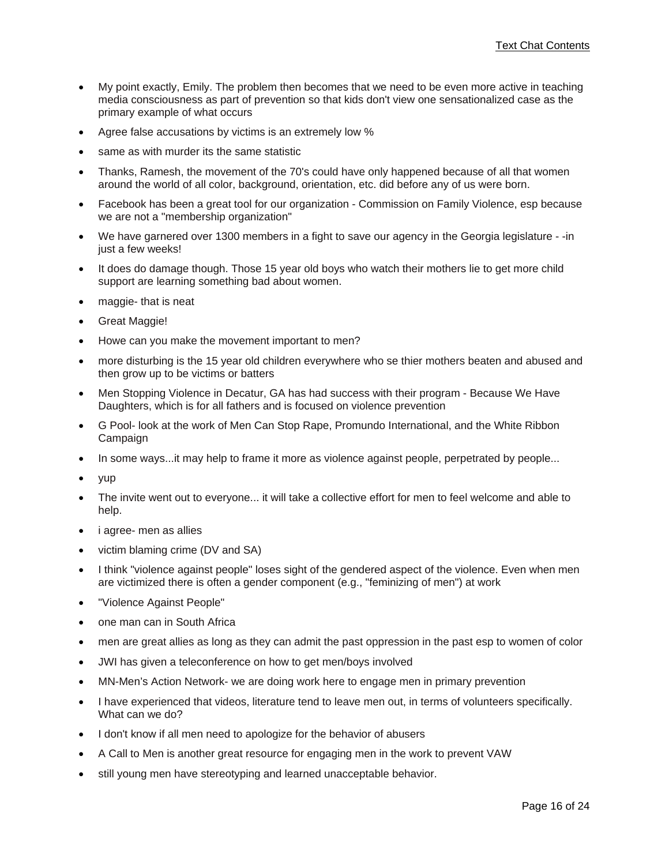- My point exactly, Emily. The problem then becomes that we need to be even more active in teaching media consciousness as part of prevention so that kids don't view one sensationalized case as the primary example of what occurs
- Agree false accusations by victims is an extremely low %
- same as with murder its the same statistic
- Thanks, Ramesh, the movement of the 70's could have only happened because of all that women around the world of all color, background, orientation, etc. did before any of us were born.
- Facebook has been a great tool for our organization Commission on Family Violence, esp because we are not a "membership organization"
- We have garnered over 1300 members in a fight to save our agency in the Georgia legislature -in just a few weeks!
- It does do damage though. Those 15 year old boys who watch their mothers lie to get more child support are learning something bad about women.
- maggie- that is neat
- Great Maggie!
- Howe can you make the movement important to men?
- more disturbing is the 15 year old children everywhere who se thier mothers beaten and abused and then grow up to be victims or batters
- Men Stopping Violence in Decatur, GA has had success with their program Because We Have Daughters, which is for all fathers and is focused on violence prevention
- G Pool- look at the work of Men Can Stop Rape, Promundo International, and the White Ribbon Campaign
- In some ways...it may help to frame it more as violence against people, perpetrated by people...
- yup
- The invite went out to everyone... it will take a collective effort for men to feel welcome and able to help.
- i agree- men as allies
- victim blaming crime (DV and SA)
- I think "violence against people" loses sight of the gendered aspect of the violence. Even when men are victimized there is often a gender component (e.g., "feminizing of men") at work
- "Violence Against People"
- one man can in South Africa
- men are great allies as long as they can admit the past oppression in the past esp to women of color
- JWI has given a teleconference on how to get men/boys involved
- MN-Men's Action Network- we are doing work here to engage men in primary prevention
- I have experienced that videos, literature tend to leave men out, in terms of volunteers specifically. What can we do?
- I don't know if all men need to apologize for the behavior of abusers
- A Call to Men is another great resource for engaging men in the work to prevent VAW
- still young men have stereotyping and learned unacceptable behavior.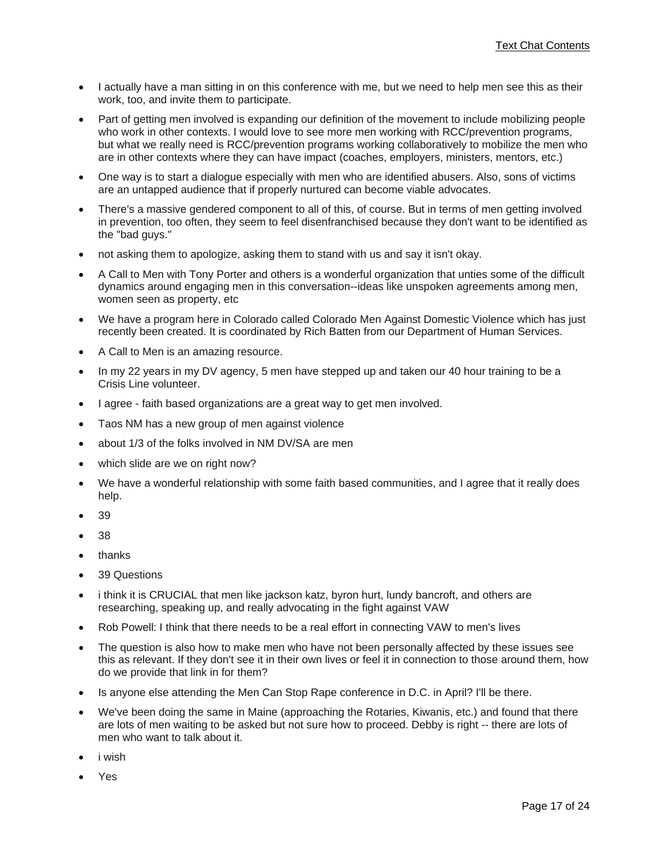- I actually have a man sitting in on this conference with me, but we need to help men see this as their work, too, and invite them to participate.
- Part of getting men involved is expanding our definition of the movement to include mobilizing people who work in other contexts. I would love to see more men working with RCC/prevention programs, but what we really need is RCC/prevention programs working collaboratively to mobilize the men who are in other contexts where they can have impact (coaches, employers, ministers, mentors, etc.)
- One way is to start a dialogue especially with men who are identified abusers. Also, sons of victims are an untapped audience that if properly nurtured can become viable advocates.
- There's a massive gendered component to all of this, of course. But in terms of men getting involved in prevention, too often, they seem to feel disenfranchised because they don't want to be identified as the "bad guys."
- not asking them to apologize, asking them to stand with us and say it isn't okay.
- A Call to Men with Tony Porter and others is a wonderful organization that unties some of the difficult dynamics around engaging men in this conversation--ideas like unspoken agreements among men, women seen as property, etc
- We have a program here in Colorado called Colorado Men Against Domestic Violence which has just recently been created. It is coordinated by Rich Batten from our Department of Human Services.
- A Call to Men is an amazing resource.
- In my 22 years in my DV agency, 5 men have stepped up and taken our 40 hour training to be a Crisis Line volunteer.
- I agree faith based organizations are a great way to get men involved.
- Taos NM has a new group of men against violence
- about 1/3 of the folks involved in NM DV/SA are men
- which slide are we on right now?
- We have a wonderful relationship with some faith based communities, and I agree that it really does help.
- 39
- 38
- thanks
- 39 Questions
- i think it is CRUCIAL that men like jackson katz, byron hurt, lundy bancroft, and others are researching, speaking up, and really advocating in the fight against VAW
- Rob Powell: I think that there needs to be a real effort in connecting VAW to men's lives
- The question is also how to make men who have not been personally affected by these issues see this as relevant. If they don't see it in their own lives or feel it in connection to those around them, how do we provide that link in for them?
- Is anyone else attending the Men Can Stop Rape conference in D.C. in April? I'll be there.
- We've been doing the same in Maine (approaching the Rotaries, Kiwanis, etc.) and found that there are lots of men waiting to be asked but not sure how to proceed. Debby is right -- there are lots of men who want to talk about it.
- i wish
- Yes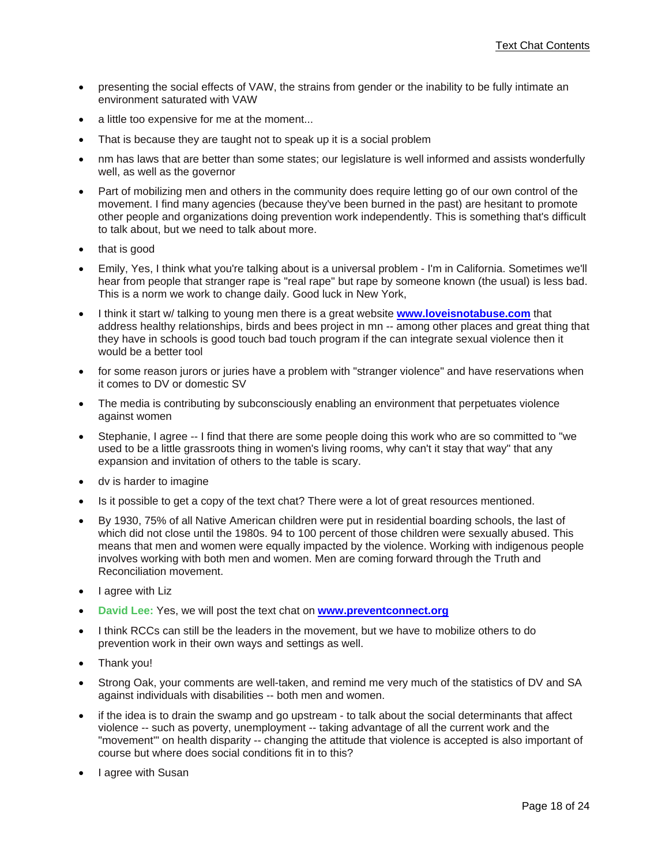- presenting the social effects of VAW, the strains from gender or the inability to be fully intimate an environment saturated with VAW
- a little too expensive for me at the moment...
- That is because they are taught not to speak up it is a social problem
- nm has laws that are better than some states; our legislature is well informed and assists wonderfully well, as well as the governor
- Part of mobilizing men and others in the community does require letting go of our own control of the movement. I find many agencies (because they've been burned in the past) are hesitant to promote other people and organizations doing prevention work independently. This is something that's difficult to talk about, but we need to talk about more.
- that is good
- Emily, Yes, I think what you're talking about is a universal problem I'm in California. Sometimes we'll hear from people that stranger rape is "real rape" but rape by someone known (the usual) is less bad. This is a norm we work to change daily. Good luck in New York,
- I think it start w/ talking to young men there is a great website **www.loveisnotabuse.com** that address healthy relationships, birds and bees project in mn -- among other places and great thing that they have in schools is good touch bad touch program if the can integrate sexual violence then it would be a better tool
- for some reason jurors or juries have a problem with "stranger violence" and have reservations when it comes to DV or domestic SV
- The media is contributing by subconsciously enabling an environment that perpetuates violence against women
- Stephanie, I agree -- I find that there are some people doing this work who are so committed to "we used to be a little grassroots thing in women's living rooms, why can't it stay that way" that any expansion and invitation of others to the table is scary.
- dv is harder to imagine
- Is it possible to get a copy of the text chat? There were a lot of great resources mentioned.
- By 1930, 75% of all Native American children were put in residential boarding schools, the last of which did not close until the 1980s. 94 to 100 percent of those children were sexually abused. This means that men and women were equally impacted by the violence. Working with indigenous people involves working with both men and women. Men are coming forward through the Truth and Reconciliation movement.
- I agree with Liz
- **David Lee:** Yes, we will post the text chat on **www.preventconnect.org**
- I think RCCs can still be the leaders in the movement, but we have to mobilize others to do prevention work in their own ways and settings as well.
- Thank you!
- Strong Oak, your comments are well-taken, and remind me very much of the statistics of DV and SA against individuals with disabilities -- both men and women.
- if the idea is to drain the swamp and go upstream to talk about the social determinants that affect violence -- such as poverty, unemployment -- taking advantage of all the current work and the "movement'" on health disparity -- changing the attitude that violence is accepted is also important of course but where does social conditions fit in to this?
- I agree with Susan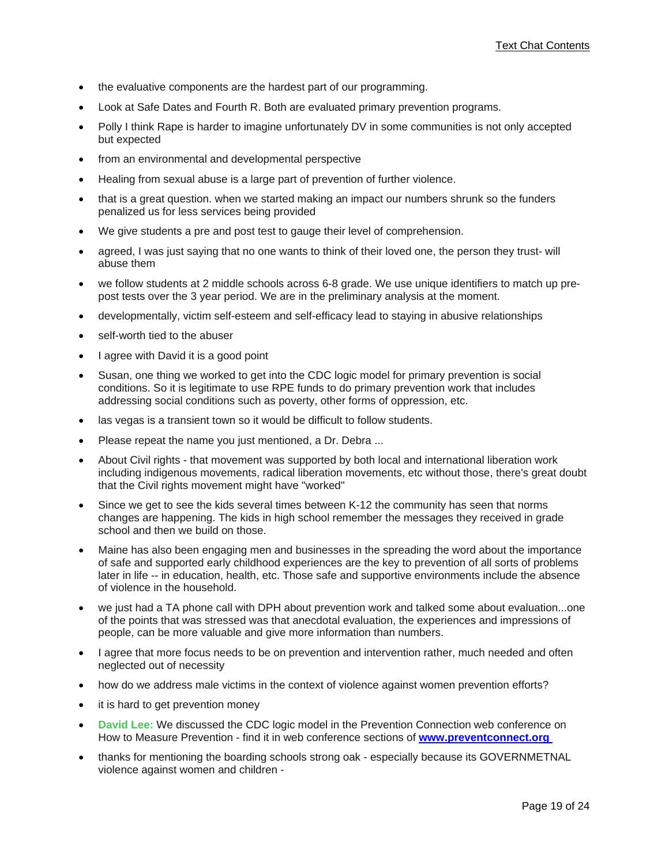- the evaluative components are the hardest part of our programming.
- Look at Safe Dates and Fourth R. Both are evaluated primary prevention programs.
- Polly I think Rape is harder to imagine unfortunately DV in some communities is not only accepted but expected
- from an environmental and developmental perspective
- Healing from sexual abuse is a large part of prevention of further violence.
- that is a great question. when we started making an impact our numbers shrunk so the funders penalized us for less services being provided
- We give students a pre and post test to gauge their level of comprehension.
- agreed, I was just saying that no one wants to think of their loved one, the person they trust- will abuse them
- we follow students at 2 middle schools across 6-8 grade. We use unique identifiers to match up prepost tests over the 3 year period. We are in the preliminary analysis at the moment.
- developmentally, victim self-esteem and self-efficacy lead to staying in abusive relationships
- self-worth tied to the abuser
- I agree with David it is a good point
- Susan, one thing we worked to get into the CDC logic model for primary prevention is social conditions. So it is legitimate to use RPE funds to do primary prevention work that includes addressing social conditions such as poverty, other forms of oppression, etc.
- las vegas is a transient town so it would be difficult to follow students.
- Please repeat the name you just mentioned, a Dr. Debra ...
- About Civil rights that movement was supported by both local and international liberation work including indigenous movements, radical liberation movements, etc without those, there's great doubt that the Civil rights movement might have "worked"
- Since we get to see the kids several times between K-12 the community has seen that norms changes are happening. The kids in high school remember the messages they received in grade school and then we build on those.
- Maine has also been engaging men and businesses in the spreading the word about the importance of safe and supported early childhood experiences are the key to prevention of all sorts of problems later in life -- in education, health, etc. Those safe and supportive environments include the absence of violence in the household.
- we just had a TA phone call with DPH about prevention work and talked some about evaluation...one of the points that was stressed was that anecdotal evaluation, the experiences and impressions of people, can be more valuable and give more information than numbers.
- I agree that more focus needs to be on prevention and intervention rather, much needed and often neglected out of necessity
- how do we address male victims in the context of violence against women prevention efforts?
- it is hard to get prevention money
- **David Lee:** We discussed the CDC logic model in the Prevention Connection web conference on How to Measure Prevention - find it in web conference sections of **www.preventconnect.org**
- thanks for mentioning the boarding schools strong oak especially because its GOVERNMETNAL violence against women and children -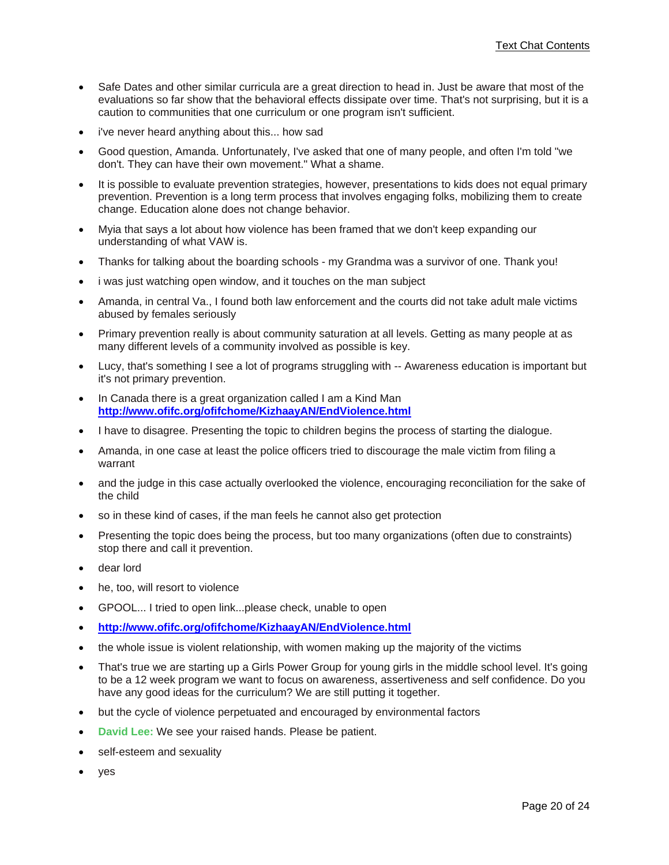- Safe Dates and other similar curricula are a great direction to head in. Just be aware that most of the evaluations so far show that the behavioral effects dissipate over time. That's not surprising, but it is a caution to communities that one curriculum or one program isn't sufficient.
- i've never heard anything about this... how sad
- Good question, Amanda. Unfortunately, I've asked that one of many people, and often I'm told "we don't. They can have their own movement." What a shame.
- It is possible to evaluate prevention strategies, however, presentations to kids does not equal primary prevention. Prevention is a long term process that involves engaging folks, mobilizing them to create change. Education alone does not change behavior.
- Myia that says a lot about how violence has been framed that we don't keep expanding our understanding of what VAW is.
- Thanks for talking about the boarding schools my Grandma was a survivor of one. Thank you!
- i was just watching open window, and it touches on the man subject
- Amanda, in central Va., I found both law enforcement and the courts did not take adult male victims abused by females seriously
- Primary prevention really is about community saturation at all levels. Getting as many people at as many different levels of a community involved as possible is key.
- Lucy, that's something I see a lot of programs struggling with -- Awareness education is important but it's not primary prevention.
- In Canada there is a great organization called I am a Kind Man **http://www.ofifc.org/ofifchome/KizhaayAN/EndViolence.html**
- I have to disagree. Presenting the topic to children begins the process of starting the dialogue.
- Amanda, in one case at least the police officers tried to discourage the male victim from filing a warrant
- and the judge in this case actually overlooked the violence, encouraging reconciliation for the sake of the child
- so in these kind of cases, if the man feels he cannot also get protection
- Presenting the topic does being the process, but too many organizations (often due to constraints) stop there and call it prevention.
- dear lord
- he, too, will resort to violence
- GPOOL... I tried to open link...please check, unable to open
- **http://www.ofifc.org/ofifchome/KizhaayAN/EndViolence.html**
- the whole issue is violent relationship, with women making up the majority of the victims
- That's true we are starting up a Girls Power Group for young girls in the middle school level. It's going to be a 12 week program we want to focus on awareness, assertiveness and self confidence. Do you have any good ideas for the curriculum? We are still putting it together.
- but the cycle of violence perpetuated and encouraged by environmental factors
- **David Lee:** We see your raised hands. Please be patient.
- self-esteem and sexuality
- yes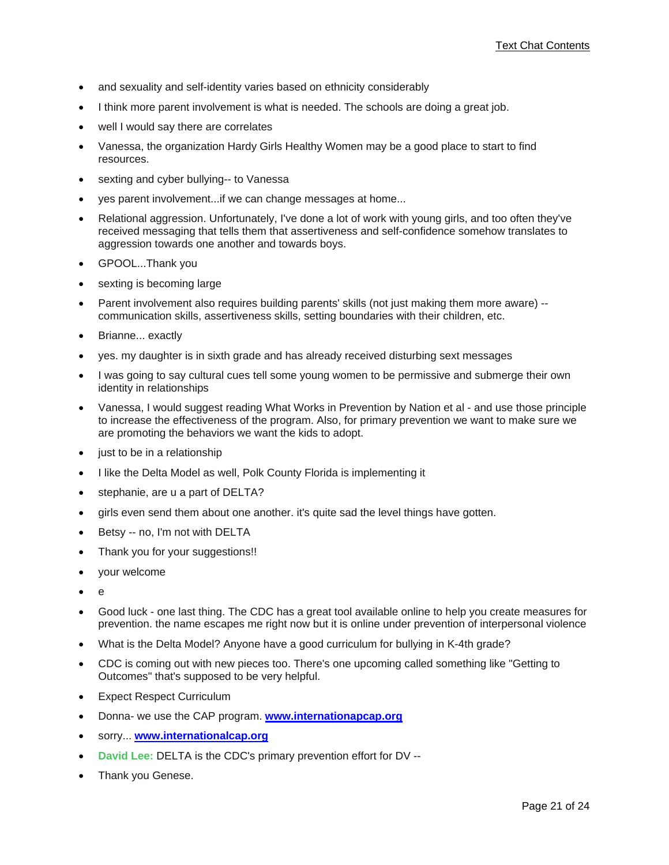- and sexuality and self-identity varies based on ethnicity considerably
- I think more parent involvement is what is needed. The schools are doing a great job.
- well I would say there are correlates
- Vanessa, the organization Hardy Girls Healthy Women may be a good place to start to find resources.
- sexting and cyber bullying-- to Vanessa
- yes parent involvement...if we can change messages at home...
- Relational aggression. Unfortunately, I've done a lot of work with young girls, and too often they've received messaging that tells them that assertiveness and self-confidence somehow translates to aggression towards one another and towards boys.
- GPOOL...Thank you
- sexting is becoming large
- Parent involvement also requires building parents' skills (not just making them more aware) communication skills, assertiveness skills, setting boundaries with their children, etc.
- Brianne... exactly
- yes. my daughter is in sixth grade and has already received disturbing sext messages
- I was going to say cultural cues tell some young women to be permissive and submerge their own identity in relationships
- Vanessa, I would suggest reading What Works in Prevention by Nation et al and use those principle to increase the effectiveness of the program. Also, for primary prevention we want to make sure we are promoting the behaviors we want the kids to adopt.
- just to be in a relationship
- I like the Delta Model as well, Polk County Florida is implementing it
- stephanie, are u a part of DELTA?
- girls even send them about one another. it's quite sad the level things have gotten.
- Betsy -- no, I'm not with DELTA
- Thank you for your suggestions!!
- your welcome
- $\theta$
- Good luck one last thing. The CDC has a great tool available online to help you create measures for prevention. the name escapes me right now but it is online under prevention of interpersonal violence
- What is the Delta Model? Anyone have a good curriculum for bullying in K-4th grade?
- CDC is coming out with new pieces too. There's one upcoming called something like "Getting to Outcomes" that's supposed to be very helpful.
- Expect Respect Curriculum
- Donna- we use the CAP program. **www.internationapcap.org**
- sorry... **www.internationalcap.org**
- **David Lee:** DELTA is the CDC's primary prevention effort for DV --
- Thank you Genese.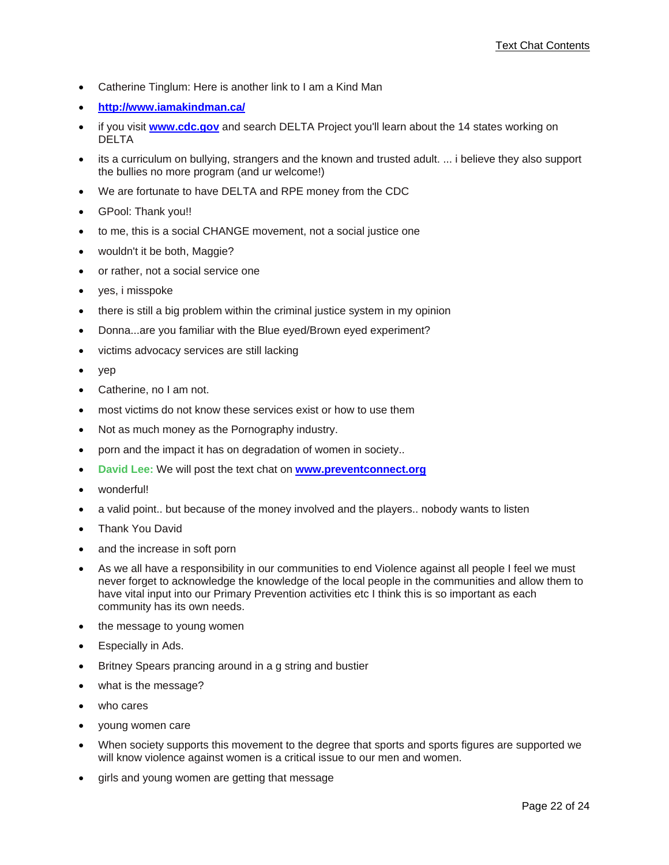- Catherine Tinglum: Here is another link to I am a Kind Man
- **http://www.iamakindman.ca/**
- if you visit **www.cdc.gov** and search DELTA Project you'll learn about the 14 states working on DELTA
- its a curriculum on bullying, strangers and the known and trusted adult. ... i believe they also support the bullies no more program (and ur welcome!)
- We are fortunate to have DELTA and RPE money from the CDC
- GPool: Thank you!!
- to me, this is a social CHANGE movement, not a social justice one
- wouldn't it be both, Maggie?
- or rather, not a social service one
- yes, i misspoke
- there is still a big problem within the criminal justice system in my opinion
- Donna...are you familiar with the Blue eyed/Brown eyed experiment?
- victims advocacy services are still lacking
- yep
- Catherine, no I am not.
- most victims do not know these services exist or how to use them
- Not as much money as the Pornography industry.
- porn and the impact it has on degradation of women in society..
- **David Lee:** We will post the text chat on **www.preventconnect.org**
- wonderful!
- a valid point.. but because of the money involved and the players.. nobody wants to listen
- Thank You David
- and the increase in soft porn
- As we all have a responsibility in our communities to end Violence against all people I feel we must never forget to acknowledge the knowledge of the local people in the communities and allow them to have vital input into our Primary Prevention activities etc I think this is so important as each community has its own needs.
- the message to young women
- Especially in Ads.
- Britney Spears prancing around in a g string and bustier
- what is the message?
- who cares
- young women care
- When society supports this movement to the degree that sports and sports figures are supported we will know violence against women is a critical issue to our men and women.
- girls and young women are getting that message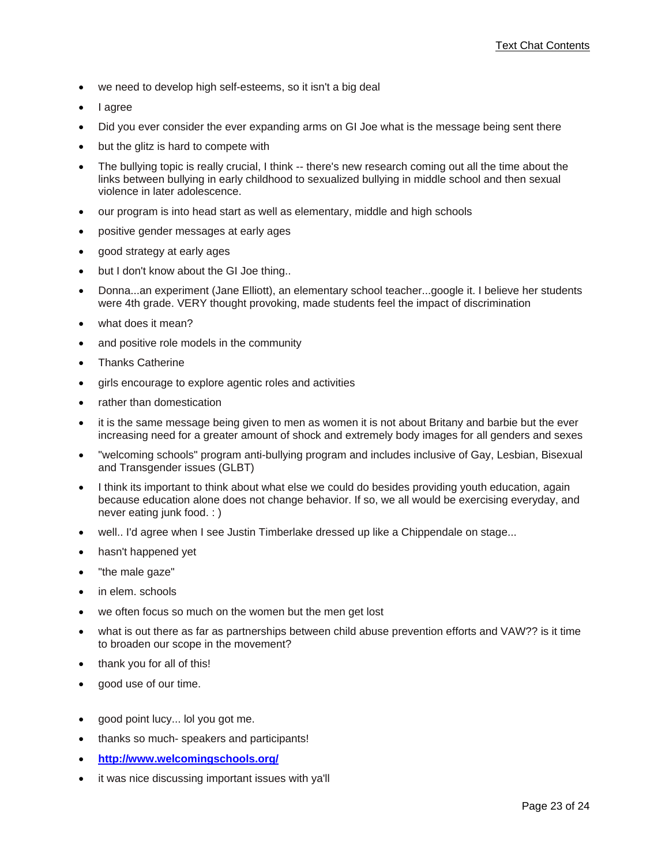- we need to develop high self-esteems, so it isn't a big deal
- I agree
- Did you ever consider the ever expanding arms on GI Joe what is the message being sent there
- but the glitz is hard to compete with
- The bullying topic is really crucial, I think -- there's new research coming out all the time about the links between bullying in early childhood to sexualized bullying in middle school and then sexual violence in later adolescence.
- our program is into head start as well as elementary, middle and high schools
- positive gender messages at early ages
- good strategy at early ages
- but I don't know about the GI Joe thing..
- Donna...an experiment (Jane Elliott), an elementary school teacher...google it. I believe her students were 4th grade. VERY thought provoking, made students feel the impact of discrimination
- what does it mean?
- and positive role models in the community
- Thanks Catherine
- girls encourage to explore agentic roles and activities
- rather than domestication
- it is the same message being given to men as women it is not about Britany and barbie but the ever increasing need for a greater amount of shock and extremely body images for all genders and sexes
- "welcoming schools" program anti-bullying program and includes inclusive of Gay, Lesbian, Bisexual and Transgender issues (GLBT)
- I think its important to think about what else we could do besides providing youth education, again because education alone does not change behavior. If so, we all would be exercising everyday, and never eating junk food. : )
- well.. I'd agree when I see Justin Timberlake dressed up like a Chippendale on stage...
- hasn't happened yet
- "the male gaze"
- in elem. schools
- we often focus so much on the women but the men get lost
- what is out there as far as partnerships between child abuse prevention efforts and VAW?? is it time to broaden our scope in the movement?
- thank you for all of this!
- good use of our time.
- good point lucy... lol you got me.
- thanks so much- speakers and participants!
- **http://www.welcomingschools.org/**
- it was nice discussing important issues with ya'll